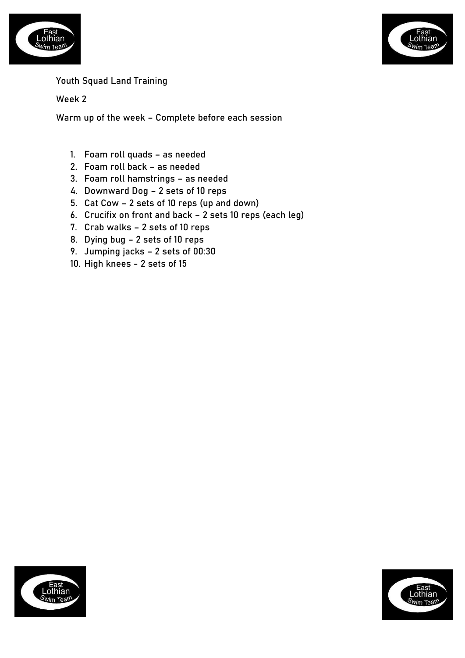



## Youth Squad Land Training

Week 2

Warm up of the week – Complete before each session

- 1. Foam roll quads as needed
- 2. Foam roll back as needed
- 3. Foam roll hamstrings as needed
- 4. Downward Dog 2 sets of 10 reps
- 5. Cat Cow 2 sets of 10 reps (up and down)
- 6. Crucifix on front and back 2 sets 10 reps (each leg)
- 7. Crab walks 2 sets of 10 reps
- 8. Dying bug 2 sets of 10 reps
- 9. Jumping jacks 2 sets of 00:30
- 10. High knees 2 sets of 15



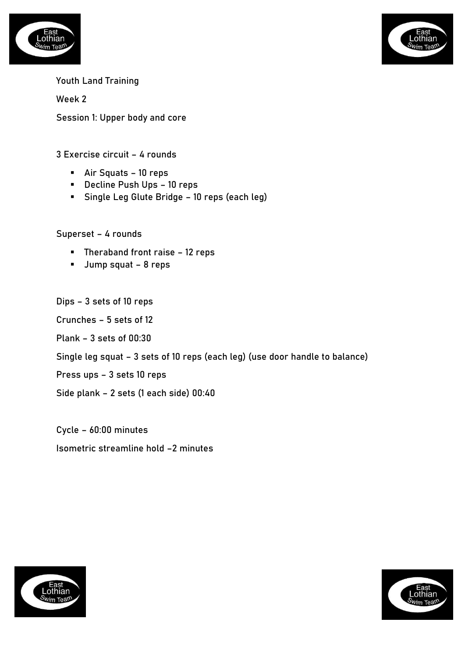



Week 2

Session 1: Upper body and core

## 3 Exercise circuit – 4 rounds

- Air Squats 10 reps
- Decline Push Ups 10 reps
- Single Leg Glute Bridge 10 reps (each leg)

Superset – 4 rounds

- Theraband front raise 12 reps
- Jump squat 8 reps

Dips – 3 sets of 10 reps

Crunches – 5 sets of 12

Plank – 3 sets of 00:30

Single leg squat – 3 sets of 10 reps (each leg) (use door handle to balance)

Press ups – 3 sets 10 reps

Side plank – 2 sets (1 each side) 00:40

Cycle – 60:00 minutes Isometric streamline hold –2 minutes



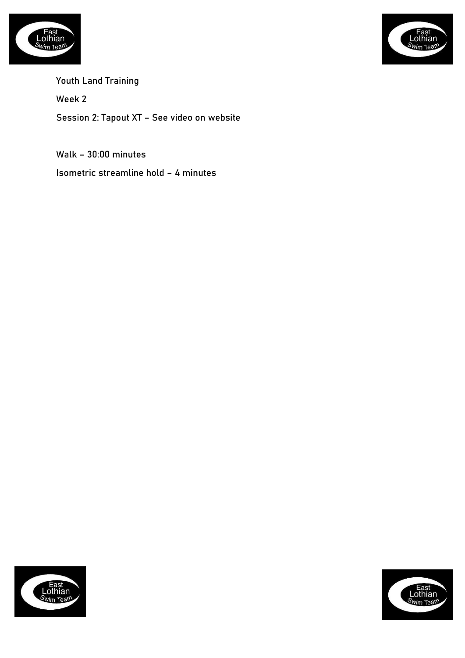



Youth Land Training Week 2 Session 2: Tapout XT – See video on website

Walk – 30:00 minutes

Isometric streamline hold – 4 minutes



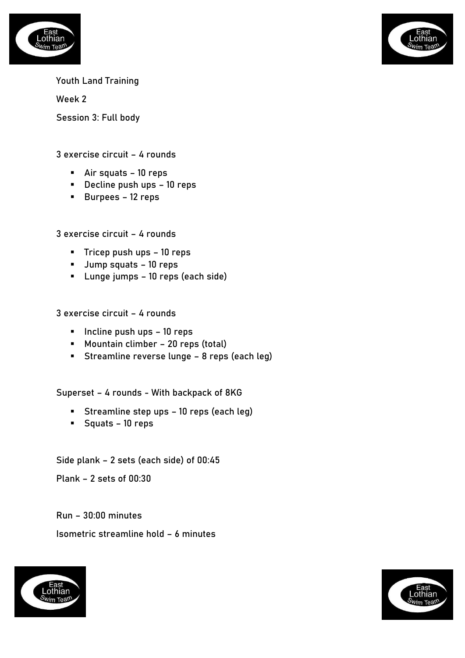



Week 2

Session 3: Full body

3 exercise circuit – 4 rounds

- Air squats 10 reps
- Decline push ups 10 reps
- Burpees 12 reps

3 exercise circuit – 4 rounds

- Tricep push ups 10 reps
- Jump squats 10 reps
- Lunge jumps 10 reps (each side)

3 exercise circuit – 4 rounds

- Incline push ups 10 reps
- Mountain climber 20 reps (total)
- Streamline reverse lunge 8 reps (each leg)

Superset – 4 rounds - With backpack of 8KG

- Streamline step ups 10 reps (each leg)
- Squats 10 reps

Side plank – 2 sets (each side) of 00:45

Plank – 2 sets of 00:30

Run – 30:00 minutes

Isometric streamline hold – 6 minutes



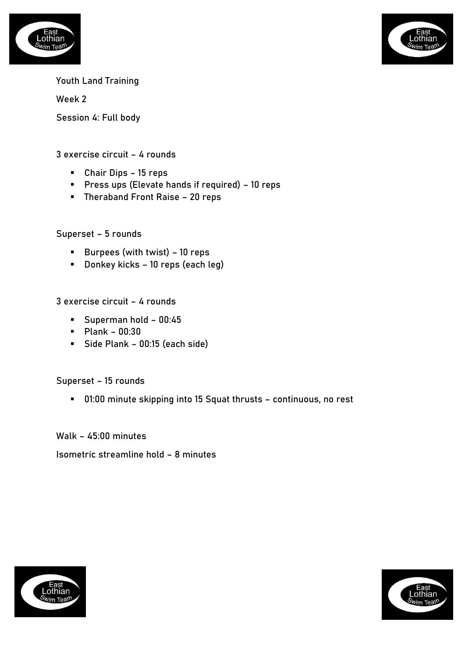



Week 2

Session 4: Full body

## 3 exercise circuit – 4 rounds

- Chair Dips 15 reps
- Press ups (Elevate hands if required) 10 reps
- Theraband Front Raise 20 reps

Superset – 5 rounds

- Burpees (with twist) 10 reps
- Donkey kicks 10 reps (each leg)

3 exercise circuit – 4 rounds

- Superman hold 00:45
- Plank 00:30
- Side Plank 00:15 (each side)

Superset – 15 rounds

■ 01:00 minute skipping into 15 Squat thrusts – continuous, no rest

Walk – 45:00 minutes

Isometric streamline hold – 8 minutes